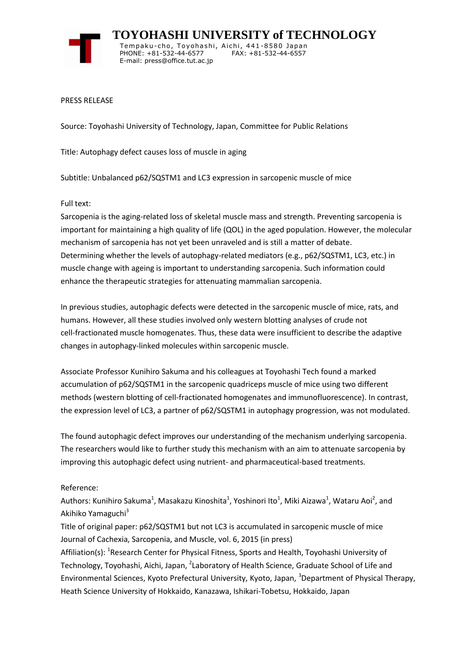

 **TOYOHASHI UNIVERSITY of TECHNOLOGY** Tempaku-cho, Toyohashi, Aichi, 441-8580 Japan PHONE: +81-532-44-6577 FAX: +81-532-44-6557 E-mail: press@office.tut.ac.jp

PRESS RELEASE

Source: Toyohashi University of Technology, Japan, Committee for Public Relations

Title: Autophagy defect causes loss of muscle in aging

Subtitle: Unbalanced p62/SQSTM1 and LC3 expression in sarcopenic muscle of mice

## Full text:

Sarcopenia is the aging-related loss of skeletal muscle mass and strength. Preventing sarcopenia is important for maintaining a high quality of life (QOL) in the aged population. However, the molecular mechanism of sarcopenia has not yet been unraveled and is still a matter of debate. Determining whether the levels of autophagy-related mediators (e.g., p62/SQSTM1, LC3, etc.) in muscle change with ageing is important to understanding sarcopenia. Such information could enhance the therapeutic strategies for attenuating mammalian sarcopenia.

In previous studies, autophagic defects were detected in the sarcopenic muscle of mice, rats, and humans. However, all these studies involved only western blotting analyses of crude not cell-fractionated muscle homogenates. Thus, these data were insufficient to describe the adaptive changes in autophagy-linked molecules within sarcopenic muscle.

Associate Professor Kunihiro Sakuma and his colleagues at Toyohashi Tech found a marked accumulation of p62/SQSTM1 in the sarcopenic quadriceps muscle of mice using two different methods (western blotting of cell-fractionated homogenates and immunofluorescence). In contrast, the expression level of LC3, a partner of p62/SQSTM1 in autophagy progression, was not modulated.

The found autophagic defect improves our understanding of the mechanism underlying sarcopenia. The researchers would like to further study this mechanism with an aim to attenuate sarcopenia by improving this autophagic defect using nutrient- and pharmaceutical-based treatments.

## Reference:

Authors: Kunihiro Sakuma<sup>1</sup>, Masakazu Kinoshita<sup>1</sup>, Yoshinori Ito<sup>1</sup>, Miki Aizawa<sup>1</sup>, Wataru Aoi<sup>2</sup>, and Akihiko Yamaguchi<sup>3</sup>

Title of original paper: p62/SQSTM1 but not LC3 is accumulated in sarcopenic muscle of mice Journal of Cachexia, Sarcopenia, and Muscle, vol. 6, 2015 (in press) Affiliation(s): <sup>1</sup>Research Center for Physical Fitness, Sports and Health, Toyohashi University of Technology, Toyohashi, Aichi, Japan, <sup>2</sup>Laboratory of Health Science, Graduate School of Life and Environmental Sciences, Kyoto Prefectural University, Kyoto, Japan, <sup>3</sup>Department of Physical Therapy, Heath Science University of Hokkaido, Kanazawa, Ishikari-Tobetsu, Hokkaido, Japan